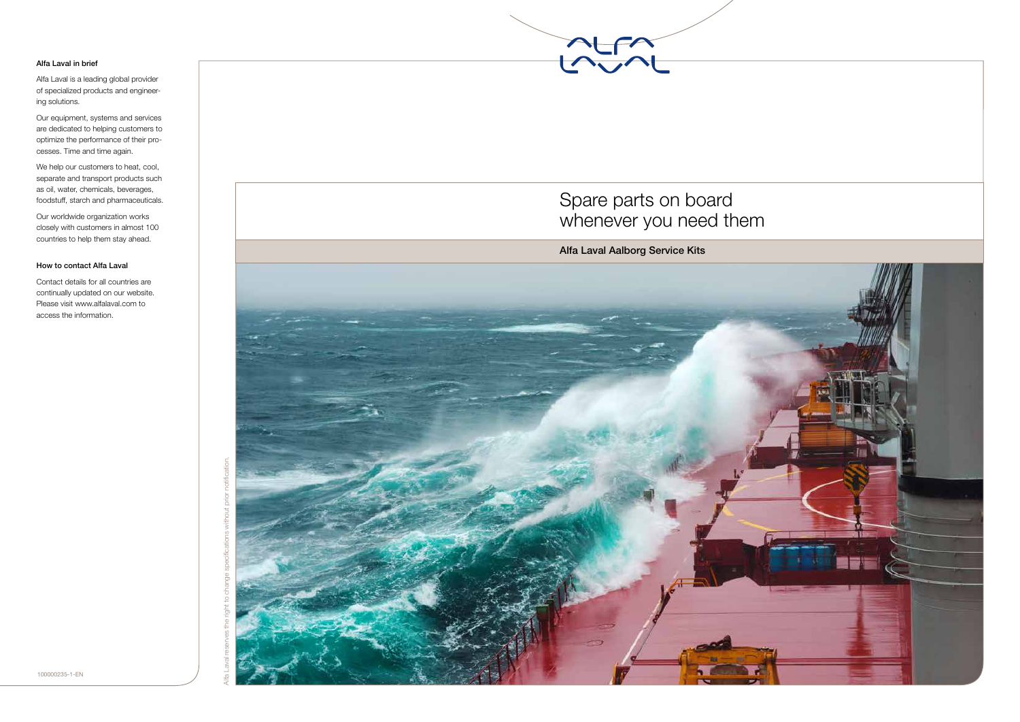

#### Alfa Laval in brief

Alfa Laval is a leading global provider of specialized products and engineer ing solutions.

Our equipment, systems and services are dedicated to helping customers to optimize the performance of their pro cesses. Time and time again.

We help our customers to heat, cool, separate and transport products such as oil, water, chemicals, beverages, foodstuff, starch and pharmaceuticals.

Our worldwide organization works closely with customers in almost 100 countries to help them stay ahead.

### How to contact Alfa Laval

Contact details for all countries are continually updated on our website. Please visit www.alfalaval.com to access the information.